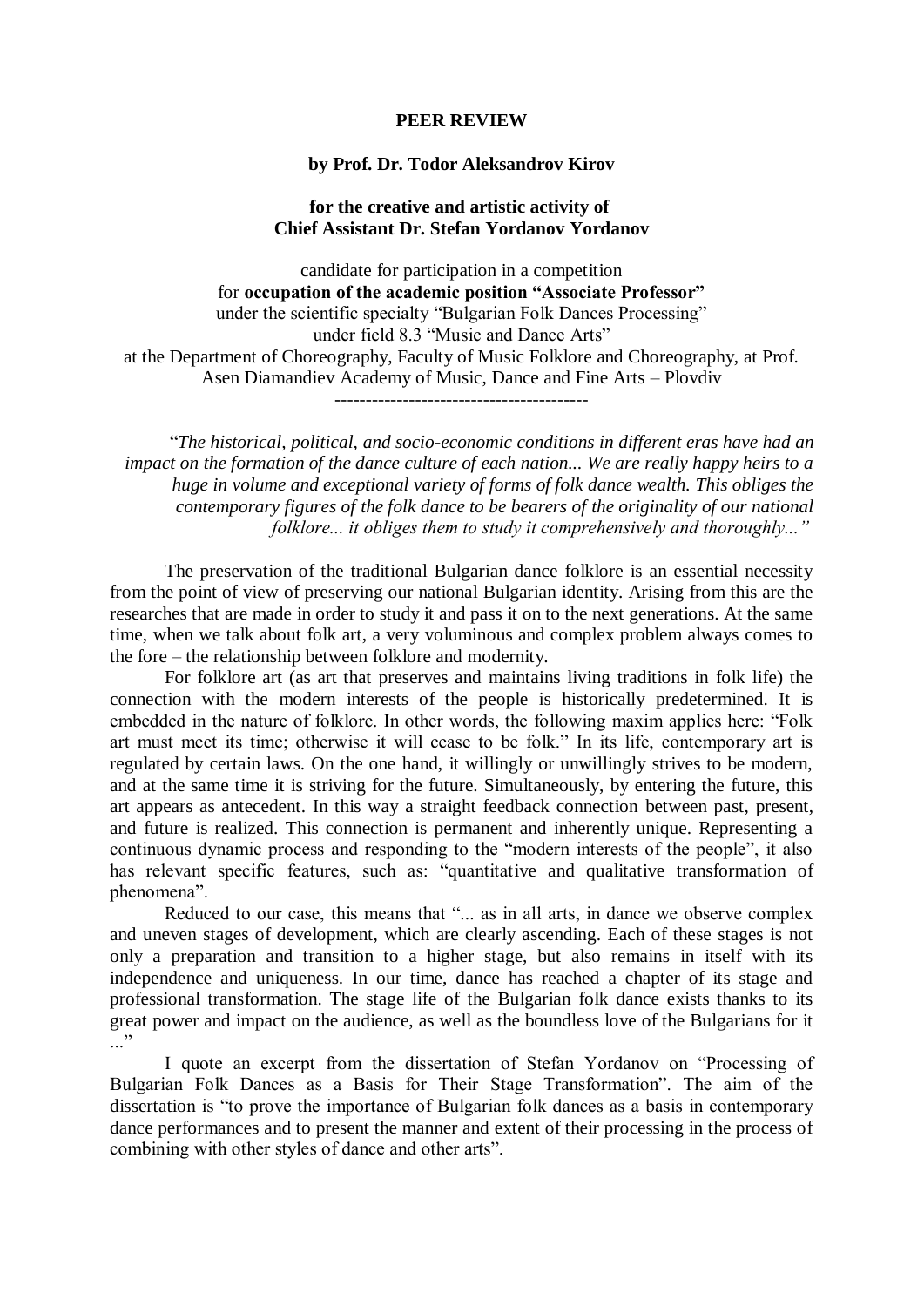## **PEER REVIEW**

## **by Prof. Dr. Todor Aleksandrov Kirov**

## **for the creative and artistic activity of Chief Assistant Dr. Stefan Yordanov Yordanov**

candidate for participation in a competition for **occupation of the academic position "Associate Professor"** under the scientific specialty "Bulgarian Folk Dances Processing" under field 8.3 "Music and Dance Arts" at the Department of Choreography, Faculty of Music Folklore and Choreography, at Prof. Asen Diamandiev Academy of Music, Dance and Fine Arts – Plovdiv -----------------------------------------

"*The historical, political, and socio-economic conditions in different eras have had an impact on the formation of the dance culture of each nation... We are really happy heirs to a huge in volume and exceptional variety of forms of folk dance wealth. This obliges the contemporary figures of the folk dance to be bearers of the originality of our national folklore... it obliges them to study it comprehensively and thoroughly..."*

The preservation of the traditional Bulgarian dance folklore is an essential necessity from the point of view of preserving our national Bulgarian identity. Arising from this are the researches that are made in order to study it and pass it on to the next generations. At the same time, when we talk about folk art, a very voluminous and complex problem always comes to the fore – the relationship between folklore and modernity.

For folklore art (as art that preserves and maintains living traditions in folk life) the connection with the modern interests of the people is historically predetermined. It is embedded in the nature of folklore. In other words, the following maxim applies here: "Folk art must meet its time; otherwise it will cease to be folk." In its life, contemporary art is regulated by certain laws. On the one hand, it willingly or unwillingly strives to be modern, and at the same time it is striving for the future. Simultaneously, by entering the future, this art appears as antecedent. In this way a straight feedback connection between past, present, and future is realized. This connection is permanent and inherently unique. Representing a continuous dynamic process and responding to the "modern interests of the people", it also has relevant specific features, such as: "quantitative and qualitative transformation of phenomena".

Reduced to our case, this means that "... as in all arts, in dance we observe complex and uneven stages of development, which are clearly ascending. Each of these stages is not only a preparation and transition to a higher stage, but also remains in itself with its independence and uniqueness. In our time, dance has reached a chapter of its stage and professional transformation. The stage life of the Bulgarian folk dance exists thanks to its great power and impact on the audience, as well as the boundless love of the Bulgarians for it  $\cdot$ ..."

I quote an excerpt from the dissertation of Stefan Yordanov on "Processing of Bulgarian Folk Dances as a Basis for Their Stage Transformation". The aim of the dissertation is "to prove the importance of Bulgarian folk dances as a basis in contemporary dance performances and to present the manner and extent of their processing in the process of combining with other styles of dance and other arts".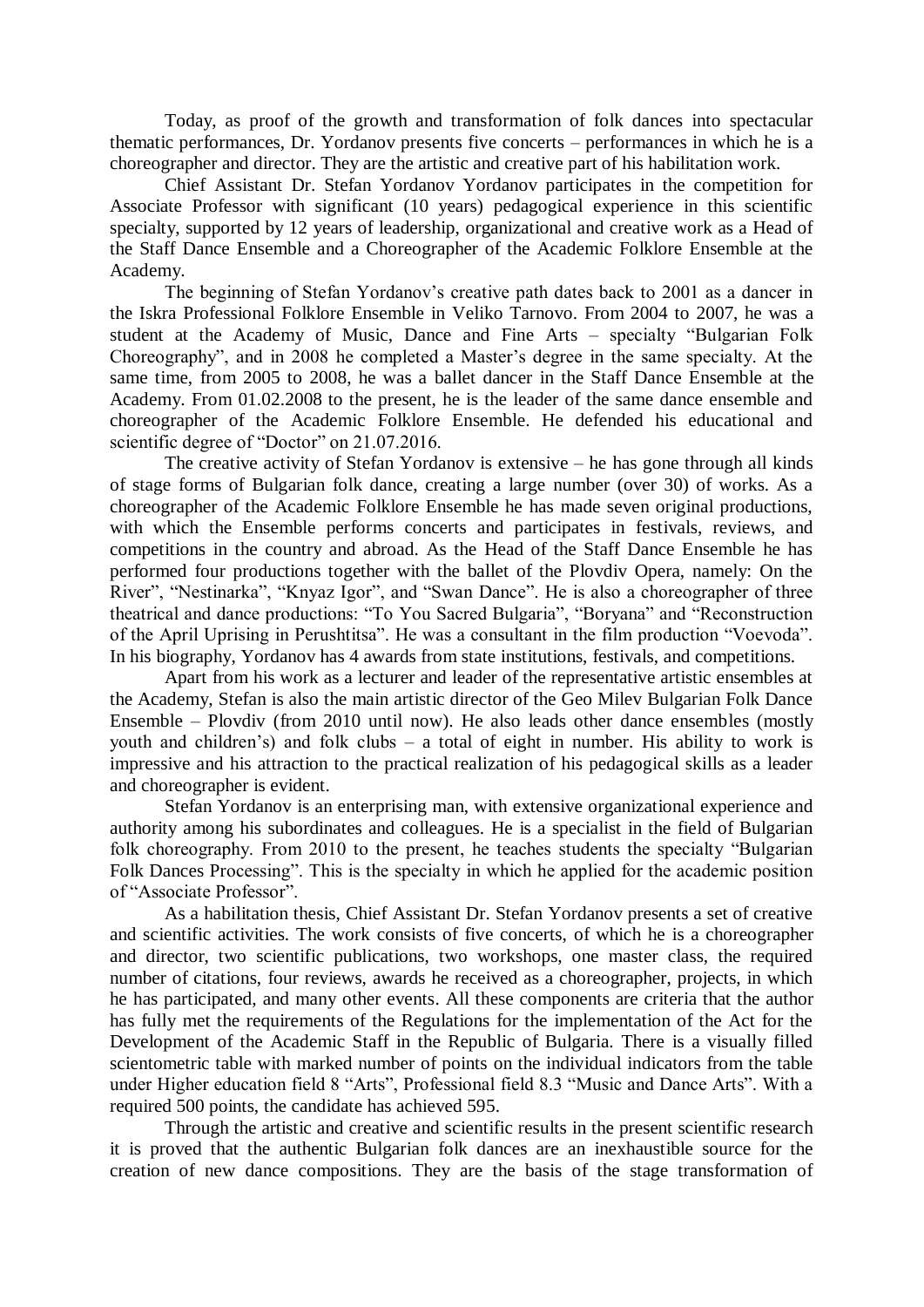Today, as proof of the growth and transformation of folk dances into spectacular thematic performances, Dr. Yordanov presents five concerts – performances in which he is a choreographer and director. They are the artistic and creative part of his habilitation work.

Chief Assistant Dr. Stefan Yordanov Yordanov participates in the competition for Associate Professor with significant (10 years) pedagogical experience in this scientific specialty, supported by 12 years of leadership, organizational and creative work as a Head of the Staff Dance Ensemble and a Choreographer of the Academic Folklore Ensemble at the Academy.

The beginning of Stefan Yordanov's creative path dates back to 2001 as a dancer in the Iskra Professional Folklore Ensemble in Veliko Tarnovo. From 2004 to 2007, he was a student at the Academy of Music, Dance and Fine Arts – specialty "Bulgarian Folk Choreography", and in 2008 he completed a Master's degree in the same specialty. At the same time, from 2005 to 2008, he was a ballet dancer in the Staff Dance Ensemble at the Academy. From 01.02.2008 to the present, he is the leader of the same dance ensemble and choreographer of the Academic Folklore Ensemble. He defended his educational and scientific degree of "Doctor" on 21.07.2016.

The creative activity of Stefan Yordanov is extensive – he has gone through all kinds of stage forms of Bulgarian folk dance, creating a large number (over 30) of works. As a choreographer of the Academic Folklore Ensemble he has made seven original productions, with which the Ensemble performs concerts and participates in festivals, reviews, and competitions in the country and abroad. As the Head of the Staff Dance Ensemble he has performed four productions together with the ballet of the Plovdiv Opera, namely: On the River", "Nestinarka", "Knyaz Igor", and "Swan Dance". He is also a choreographer of three theatrical and dance productions: "To You Sacred Bulgaria", "Boryana" and "Reconstruction of the April Uprising in Perushtitsa". He was a consultant in the film production "Voevoda". In his biography, Yordanov has 4 awards from state institutions, festivals, and competitions.

Apart from his work as a lecturer and leader of the representative artistic ensembles at the Academy, Stefan is also the main artistic director of the Geo Milev Bulgarian Folk Dance Ensemble – Plovdiv (from 2010 until now). He also leads other dance ensembles (mostly youth and children's) and folk clubs – a total of eight in number. His ability to work is impressive and his attraction to the practical realization of his pedagogical skills as a leader and choreographer is evident.

Stefan Yordanov is an enterprising man, with extensive organizational experience and authority among his subordinates and colleagues. He is a specialist in the field of Bulgarian folk choreography. From 2010 to the present, he teaches students the specialty "Bulgarian Folk Dances Processing". This is the specialty in which he applied for the academic position of "Associate Professor".

As a habilitation thesis, Chief Assistant Dr. Stefan Yordanov presents a set of creative and scientific activities. The work consists of five concerts, of which he is a choreographer and director, two scientific publications, two workshops, one master class, the required number of citations, four reviews, awards he received as a choreographer, projects, in which he has participated, and many other events. All these components are criteria that the author has fully met the requirements of the Regulations for the implementation of the Act for the Development of the Academic Staff in the Republic of Bulgaria. There is a visually filled scientometric table with marked number of points on the individual indicators from the table under Higher education field 8 "Arts", Professional field 8.3 "Music and Dance Arts". With a required 500 points, the candidate has achieved 595.

Through the artistic and creative and scientific results in the present scientific research it is proved that the authentic Bulgarian folk dances are an inexhaustible source for the creation of new dance compositions. They are the basis of the stage transformation of